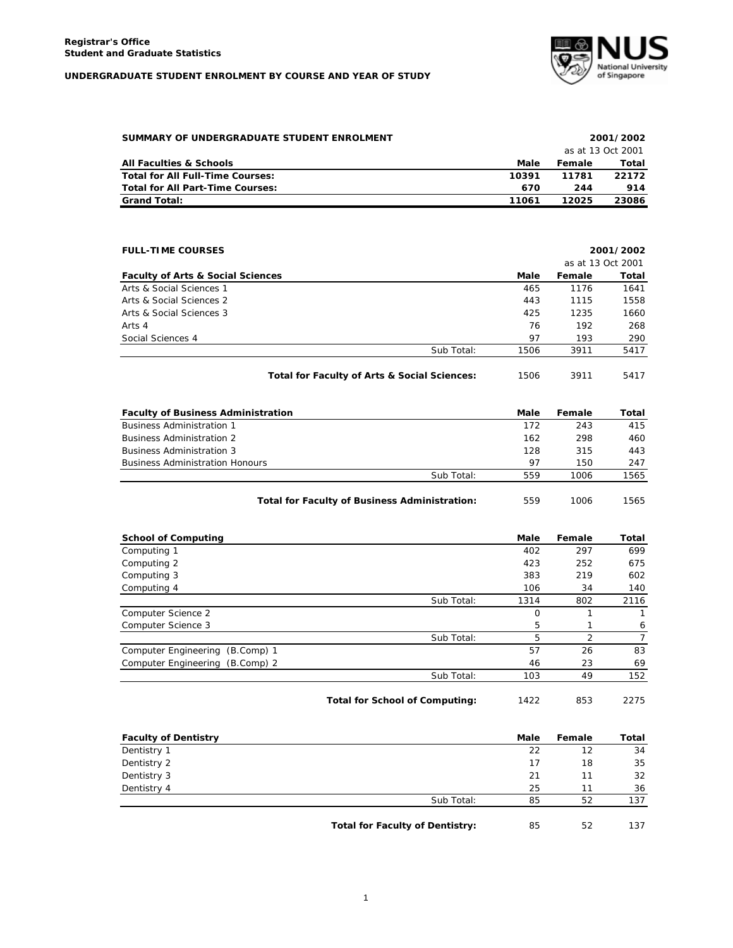

| SUMMARY OF UNDERGRADUATE STUDENT ENROLMENT | 2001/2002 |        |                   |
|--------------------------------------------|-----------|--------|-------------------|
|                                            |           |        | as at 13 Oct 2001 |
| All Faculties & Schools                    | Male      | Female | Total             |
| Total for All Full-Time Courses:           | 10391     | 11781  | 22172             |
| <b>Total for All Part-Time Courses:</b>    | 670       | 244    | 914               |
| <b>Grand Total:</b>                        | 11061     | 12025  | 23086             |

| <b>FULL-TIME COURSES</b>                     |            | 2001/2002 |                   |       |
|----------------------------------------------|------------|-----------|-------------------|-------|
|                                              |            |           | as at 13 Oct 2001 |       |
| <b>Faculty of Arts &amp; Social Sciences</b> |            | Male      | Female            | Total |
| Arts & Social Sciences 1                     |            | 465       | 1176              | 1641  |
| Arts & Social Sciences 2                     |            | 443       | 1115              | 1558  |
| Arts & Social Sciences 3                     |            | 425       | 1235              | 1660  |
| Arts 4                                       |            | 76        | 192               | 268   |
| Social Sciences 4                            |            | 97        | 193               | 290   |
|                                              | Sub Total: | 1506      | 3911              | 5417  |
|                                              |            |           |                   |       |

Total for Faculty of Arts & Social Sciences: 1506 3911 5417

| <b>Faculty of Business Administration</b> |            | Male | Female | Total |
|-------------------------------------------|------------|------|--------|-------|
| <b>Business Administration 1</b>          |            | 172  | 243    | 415   |
| <b>Business Administration 2</b>          |            | 162  | 298    | 460   |
| <b>Business Administration 3</b>          |            | 128  | 315    | 443   |
| <b>Business Administration Honours</b>    |            | 97   | 150    | 247   |
|                                           | Sub Total: | 559  | 1006   | 1565  |
|                                           |            |      |        |       |

**Total for Faculty of Business Administration:** 559 1006 1565

| <b>School of Computing</b>      |            | Male     | Female         | Total |
|---------------------------------|------------|----------|----------------|-------|
| Computing 1                     |            | 402      | 297            | 699   |
| Computing 2                     |            | 423      | 252            | 675   |
| Computing 3                     |            | 383      | 219            | 602   |
| Computing 4                     |            | 106      | 34             | 140   |
|                                 | Sub Total: | 1314     | 802            | 2116  |
| Computer Science 2              |            | $\Omega$ |                |       |
| Computer Science 3              |            | 5        |                | 6     |
|                                 | Sub Total: | 5        | $\overline{2}$ |       |
| Computer Engineering (B.Comp) 1 |            | 57       | 26             | 83    |
| Computer Engineering (B.Comp) 2 |            | 46       | 23             | 69    |
|                                 | Sub Total: | 103      | 49             | 152   |
|                                 |            |          |                |       |

**Total for School of Computing:** 1422 853 2275

| <b>Faculty of Dentistry</b> |                                        | Male | Female | Total |
|-----------------------------|----------------------------------------|------|--------|-------|
| Dentistry 1                 |                                        | 22   | 12     | 34    |
| Dentistry 2                 |                                        | 17   | 18     | 35    |
| Dentistry 3                 |                                        | 21   | 11     | 32    |
| Dentistry 4                 |                                        | 25   | 11     | 36    |
|                             | Sub Total:                             | 85   | 52     | 137   |
|                             | <b>Total for Faculty of Dentistry:</b> | 85   | 52     | 137   |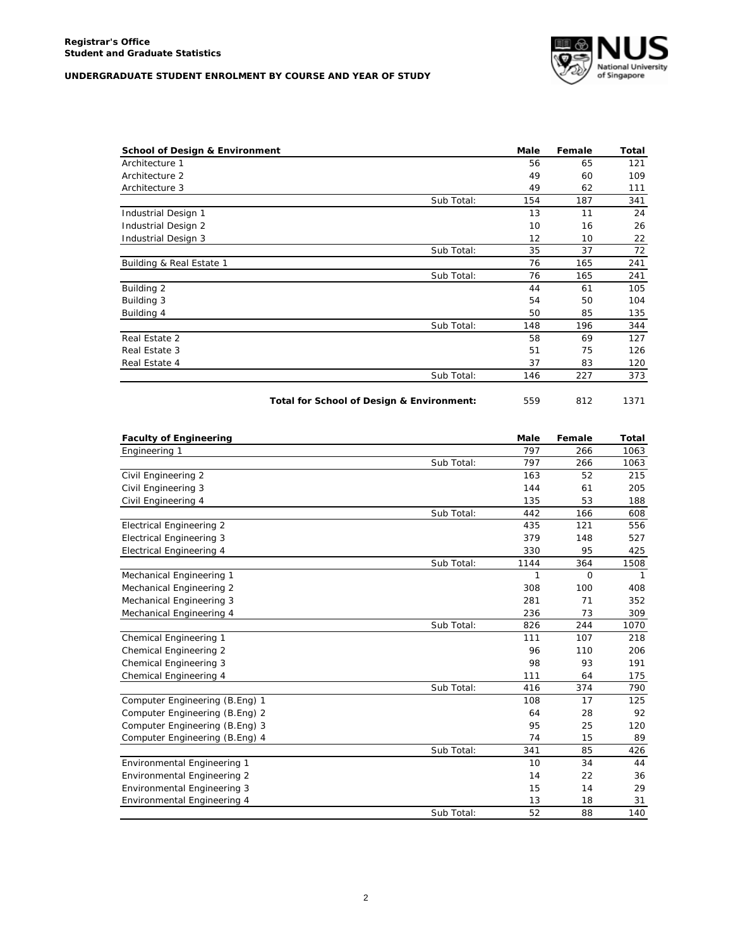

|            | 56  | 65  | 121 |
|------------|-----|-----|-----|
|            | 49  | 60  | 109 |
|            | 49  | 62  | 111 |
| Sub Total: | 154 | 187 | 341 |
|            | 13  | 11  | 24  |
|            | 10  | 16  | 26  |
|            | 12  | 10  | 22  |
| Sub Total: | 35  | 37  | 72  |
|            | 76  | 165 | 241 |
| Sub Total: | 76  | 165 | 241 |
|            | 44  | 61  | 105 |
|            | 54  | 50  | 104 |
|            | 50  | 85  | 135 |
| Sub Total: | 148 | 196 | 344 |
|            | 58  | 69  | 127 |
|            | 51  | 75  | 126 |
|            | 37  | 83  | 120 |
| Sub Total: | 146 | 227 | 373 |
|            |     |     |     |

| Total for School of Design & Environment: | 559 |  | 1371 |
|-------------------------------------------|-----|--|------|
|-------------------------------------------|-----|--|------|

| <b>Faculty of Engineering</b>   |            | <b>Male</b> | Female   | Total |
|---------------------------------|------------|-------------|----------|-------|
| Engineering 1                   |            | 797         | 266      | 1063  |
|                                 | Sub Total: | 797         | 266      | 1063  |
| Civil Engineering 2             |            | 163         | 52       | 215   |
| Civil Engineering 3             |            | 144         | 61       | 205   |
| Civil Engineering 4             |            | 135         | 53       | 188   |
|                                 | Sub Total: | 442         | 166      | 608   |
| <b>Electrical Engineering 2</b> |            | 435         | 121      | 556   |
| <b>Electrical Engineering 3</b> |            | 379         | 148      | 527   |
| <b>Electrical Engineering 4</b> |            | 330         | 95       | 425   |
|                                 | Sub Total: | 1144        | 364      | 1508  |
| Mechanical Engineering 1        |            | 1           | $\Omega$ | -1    |
| Mechanical Engineering 2        |            | 308         | 100      | 408   |
| Mechanical Engineering 3        |            | 281         | 71       | 352   |
| Mechanical Engineering 4        |            | 236         | 73       | 309   |
|                                 | Sub Total: | 826         | 244      | 1070  |
| Chemical Engineering 1          |            | 111         | 107      | 218   |
| <b>Chemical Engineering 2</b>   |            | 96          | 110      | 206   |
| Chemical Engineering 3          |            | 98          | 93       | 191   |
| Chemical Engineering 4          |            | 111         | 64       | 175   |
|                                 | Sub Total: | 416         | 374      | 790   |
| Computer Engineering (B.Eng) 1  |            | 108         | 17       | 125   |
| Computer Engineering (B.Eng) 2  |            | 64          | 28       | 92    |
| Computer Engineering (B.Eng) 3  |            | 95          | 25       | 120   |
| Computer Engineering (B.Eng) 4  |            | 74          | 15       | 89    |
|                                 | Sub Total: | 341         | 85       | 426   |
| Environmental Engineering 1     |            | 10          | 34       | 44    |
| Environmental Engineering 2     |            | 14          | 22       | 36    |
| Environmental Engineering 3     |            | 15          | 14       | 29    |
| Environmental Engineering 4     |            | 13          | 18       | 31    |
|                                 | Sub Total: | 52          | 88       | 140   |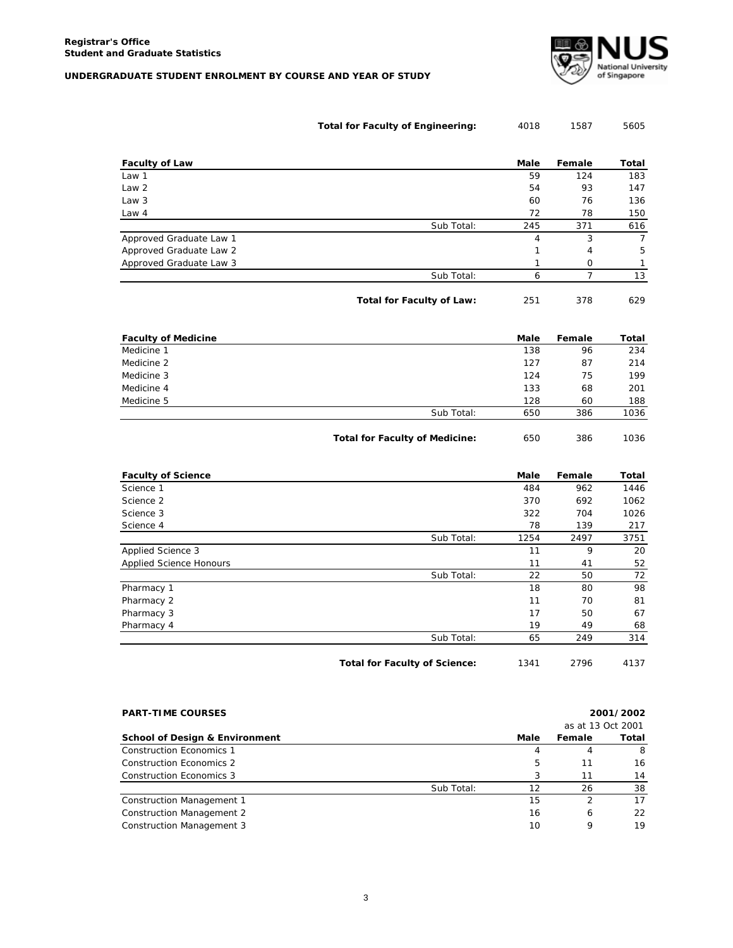

| <b>Total for Faculty of Engineering:</b> | 4018 | 1587 | 5605 |
|------------------------------------------|------|------|------|
|------------------------------------------|------|------|------|

| <b>Faculty of Law</b>   |            | Male | Female         | Total |
|-------------------------|------------|------|----------------|-------|
| Law 1                   |            | 59   | 124            | 183   |
| Law 2                   |            | 54   | 93             | 147   |
| Law 3                   |            | 60   | 76             | 136   |
| Law 4                   |            | 72   | 78             | 150   |
|                         | Sub Total: | 245  | 371            | 616   |
| Approved Graduate Law 1 |            | 4    | 3              | 7     |
| Approved Graduate Law 2 |            |      | $\overline{4}$ | 5     |
| Approved Graduate Law 3 |            |      | Ω              |       |
|                         | Sub Total: | 6    |                | 13    |

**Total for Faculty of Law:** 251 378 629

| <b>Faculty of Medicine</b> |            | Male | Female | Total |
|----------------------------|------------|------|--------|-------|
| Medicine 1                 |            | 138  | 96     | 234   |
| Medicine 2                 |            | 127  | 87     | 214   |
| Medicine 3                 |            | 124  | 75     | 199   |
| Medicine 4                 |            | 133  | 68     | 201   |
| Medicine 5                 |            | 128  | 60     | 188   |
|                            | Sub Total: | 650  | 386    | 1036  |
|                            |            |      |        |       |

**Total for Faculty of Medicine:** 650 386 1036

| <b>Faculty of Science</b>      |            | Male | Female | Total |
|--------------------------------|------------|------|--------|-------|
| Science 1                      |            | 484  | 962    | 1446  |
| Science 2                      |            | 370  | 692    | 1062  |
| Science 3                      |            | 322  | 704    | 1026  |
| Science 4                      |            | 78   | 139    | 217   |
|                                | Sub Total: | 1254 | 2497   | 3751  |
| Applied Science 3              |            | 11   | 9      | 20    |
| <b>Applied Science Honours</b> |            | 11   | 41     | 52    |
|                                | Sub Total: | 22   | 50     | 72    |
| Pharmacy 1                     |            | 18   | 80     | 98    |
| Pharmacy 2                     |            | 11   | 70     | 81    |
| Pharmacy 3                     |            | 17   | 50     | 67    |
| Pharmacy 4                     |            | 19   | 49     | 68    |
|                                | Sub Total: | 65   | 249    | 314   |
|                                |            |      |        |       |

Total for Faculty of Science: 1341 2796 4137

| <b>PART-TIME COURSES</b>                  |            |      | 2001/2002         |       |  |  |
|-------------------------------------------|------------|------|-------------------|-------|--|--|
|                                           |            |      | as at 13 Oct 2001 |       |  |  |
| <b>School of Design &amp; Environment</b> |            | Male | Female            | Total |  |  |
| Construction Economics 1                  |            | 4    | 4                 | 8     |  |  |
| Construction Economics 2                  |            | 5    | 11                | 16    |  |  |
| Construction Economics 3                  |            |      | 11                | 14    |  |  |
|                                           | Sub Total: | 12   | 26                | 38    |  |  |
| Construction Management 1                 |            | 15   |                   | 17    |  |  |
| <b>Construction Management 2</b>          |            | 16   | 6                 | 22    |  |  |
| Construction Management 3                 |            | 10   | 9                 | 19    |  |  |